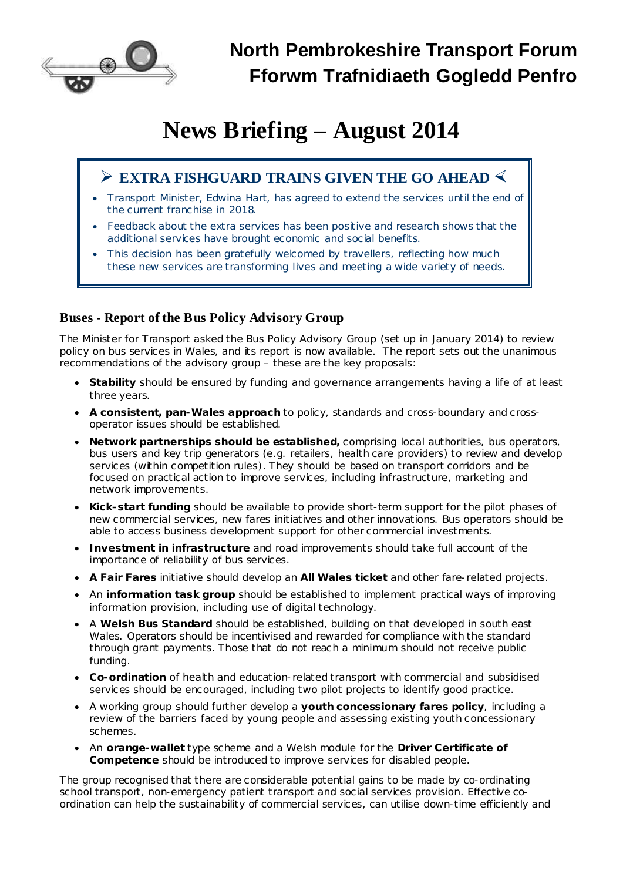

# **News Briefing – August 2014**

# **Ø EXTRA FISHGUARD TRAINS GIVEN THE GO AHEAD ×**

- · Transport Minister, Edwina Hart, has agreed to extend the services until the end of the current franchise in 2018.
- Feedback about the extra services has been positive and research shows that the additional services have brought economic and social benefits.
- This decision has been gratefully welcomed by travellers, reflecting how much these new services are transforming lives and meeting a wide variety of needs.

## **Buses - Report of the Bus Policy Advisory Group**

The Minister for Transport asked the Bus Policy Advisory Group (set up in January 2014) to review policy on bus services in Wales, and its report is now available. The report sets out the unanimous recommendations of the advisory group – these are the key proposals:

- · **Stability** should be ensured by funding and governance arrangements having a life of at least three years.
- · **A consistent, pan-Wales approach** to policy, standards and cross-boundary and crossoperator issues should be established.
- · **Network partnerships should be established,** comprising local authorities, bus operators, bus users and key trip generators (e.g. retailers, health care providers) to review and develop services (within competition rules). They should be based on transport corridors and be focused on practical action to improve services, including infrastructure, marketing and network improvements.
- · **Kick-start funding** should be available to provide short-term support for the pilot phases of new commercial services, new fares initiatives and other innovations. Bus operators should be able to access business development support for other commercial investments.
- · **Investment in infrastructure** and road improvements should take full account of the importance of reliability of bus services.
- · **A Fair Fares** initiative should develop an **All Wales ticket** and other fare-related projects.
- · An **information task group** should be established to implement practical ways of improving information provision, including use of digital technology.
- · A **Welsh Bus Standard** should be established, building on that developed in south east Wales. Operators should be incentivised and rewarded for compliance with the standard through grant payments. Those that do not reach a minimum should not receive public funding.
- · **Co-ordination** of health and education-related transport with commercial and subsidised services should be encouraged, including two pilot projects to identify good practice.
- · A working group should further develop a **youth concessionary fares policy**, including a review of the barriers faced by young people and assessing existing youth concessionary schemes.
- · An **orange-wallet** type scheme and a Welsh module for the **Driver Certificate of Competence** should be introduced to improve services for disabled people.

The group recognised that there are considerable potential gains to be made by co-ordinating school transport, non-emergency patient transport and social services provision. Effective coordination can help the sustainability of commercial services, can utilise down-time efficiently and